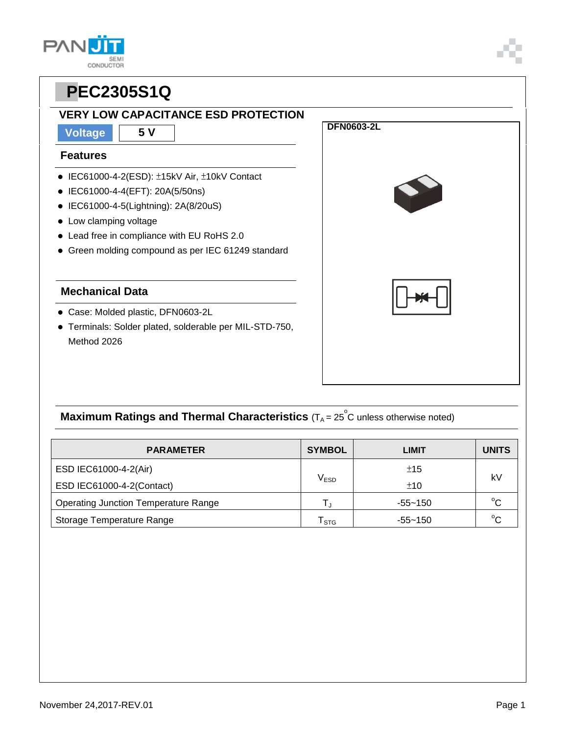### **VERY LOW CAPACITANCE ESD PROTECTION**

**Voltage 5 V**

#### **Features**

- IEC61000-4-2(ESD): ±15kV Air, ±10kV Contact
- IEC61000-4-4(EFT): 20A(5/50ns)
- IEC61000-4-5(Lightning): 2A(8/20uS)
- Low clamping voltage
- Lead free in compliance with EU RoHS 2.0
- Green molding compound as per IEC 61249 standard

#### **Mechanical Data**

- Case: Molded plastic, DFN0603-2L
- Terminals: Solder plated, solderable per MIL-STD-750, Method 2026



## **Maximum Ratings and Thermal Characteristics** (T<sub>A</sub> = 25<sup>°</sup>C unless otherwise noted)

| <b>PARAMETER</b>                            | <b>SYMBOL</b>               | LIMIT       | <b>UNITS</b> |
|---------------------------------------------|-----------------------------|-------------|--------------|
| ESD IEC61000-4-2(Air)                       | ±15                         |             |              |
| ESD IEC61000-4-2(Contact)                   | $\mathsf{V}_{\mathsf{ESD}}$ | ±10         | kV           |
| <b>Operating Junction Temperature Range</b> |                             | $-55 - 150$ | $^{\circ}C$  |
| Storage Temperature Range                   | STG                         | $-55 - 150$ | $\sim$       |





**DFN0603-2L** 

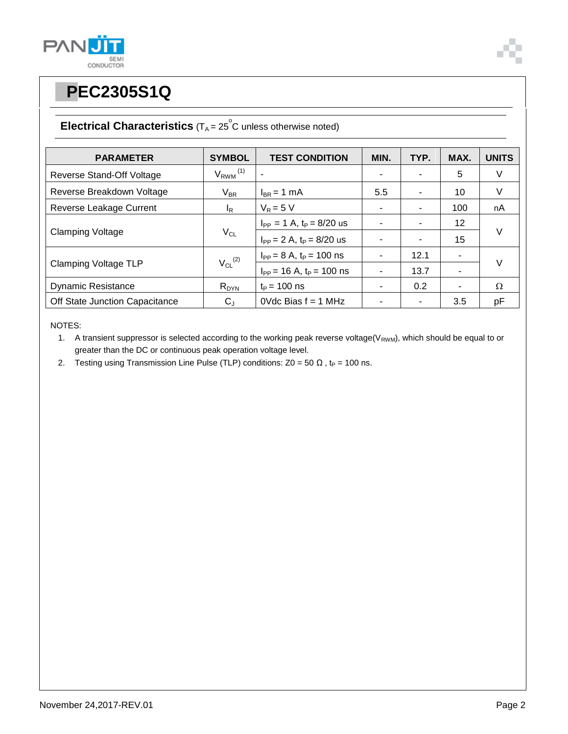



### **Electrical Characteristics**  $(T_A = 25^\circ \text{C}$  unless otherwise noted)

| <b>PARAMETER</b>               | <b>SYMBOL</b>            | <b>TEST CONDITION</b>            | MIN. | TYP. | MAX.           | <b>UNITS</b> |  |
|--------------------------------|--------------------------|----------------------------------|------|------|----------------|--------------|--|
| Reverse Stand-Off Voltage      | $V_{RWM}$ <sup>(1)</sup> |                                  |      |      | 5              | V            |  |
| Reverse Breakdown Voltage      | $V_{BR}$                 | $I_{BR}$ = 1 mA                  | 5.5  | ۰    | 10             | V            |  |
| Reverse Leakage Current        | l <sub>R</sub>           | $V_R = 5 V$                      |      |      | 100            | nA           |  |
| <b>Clamping Voltage</b>        | $V_{CL}$                 | $I_{PP} = 1$ A, $t_P = 8/20$ us  |      |      | 12             | $\vee$       |  |
|                                |                          | $I_{PP} = 2 A$ , $t_P = 8/20$ us |      | ۰    | 15             |              |  |
| <b>Clamping Voltage TLP</b>    | $V_{CL}$ <sup>(2)</sup>  | $I_{PP} = 8 A$ , $t_P = 100$ ns  |      | 12.1 | ۰              | $\vee$       |  |
|                                |                          | $I_{PP}$ = 16 A, $t_P$ = 100 ns  |      | 13.7 | ٠              |              |  |
| <b>Dynamic Resistance</b>      | $R_{DYN}$                | $t_P = 100$ ns                   |      | 0.2  | $\blacksquare$ | Ω            |  |
| Off State Junction Capacitance | $C_{\rm J}$              | OVdc Bias $f = 1$ MHz            |      |      | 3.5            | рF           |  |

NOTES:

1. A transient suppressor is selected according to the working peak reverse voltage(V<sub>RWM</sub>), which should be equal to or greater than the DC or continuous peak operation voltage level.

2. Testing using Transmission Line Pulse (TLP) conditions:  $Z0 = 50 \Omega$ , t<sub>P</sub> = 100 ns.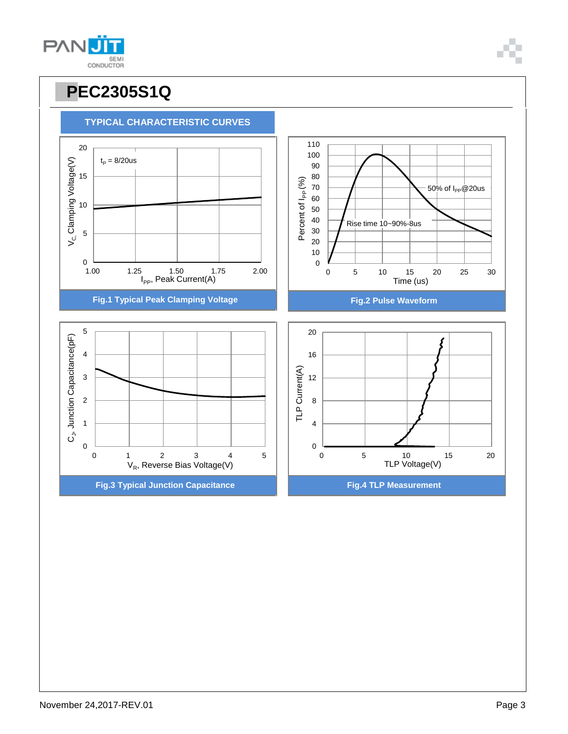

**TYPICAL CHARACTERISTIC CURVES**

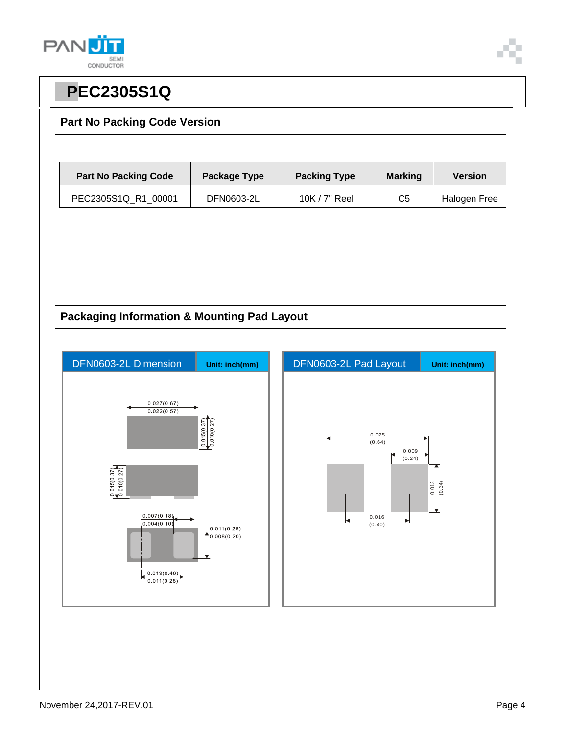



### **Part No Packing Code Version**

| <b>Part No Packing Code</b> | Package Type | <b>Packing Type</b> | <b>Marking</b> | <b>Version</b> |
|-----------------------------|--------------|---------------------|----------------|----------------|
| PEC2305S1Q R1 00001         | DFN0603-2L   | 10K / 7" Reel       | C5             | Halogen Free   |

### **Packaging Information & Mounting Pad Layout**